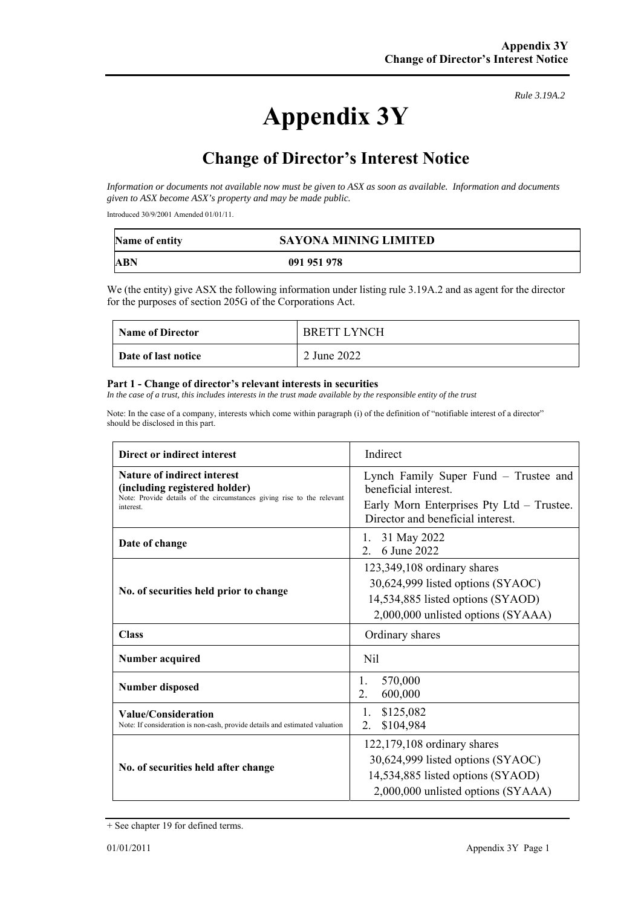*Rule 3.19A.2*

# **Change of Director's Interest Notice**

*Information or documents not available now must be given to ASX as soon as available. Information and documents given to ASX become ASX's property and may be made public.* 

Introduced 30/9/2001 Amended 01/01/11.

| Name of entity | <b>SAYONA MINING LIMITED</b> |
|----------------|------------------------------|
| ABN            | 091 951 978                  |

We (the entity) give ASX the following information under listing rule 3.19A.2 and as agent for the director for the purposes of section 205G of the Corporations Act.

| <b>Name of Director</b> | <b>BRETT LYNCH</b> |
|-------------------------|--------------------|
| Date of last notice     | 2 June 2022        |

#### **Part 1 - Change of director's relevant interests in securities**

In the case of a trust, this includes interests in the trust made available by the responsible entity of the trust

Note: In the case of a company, interests which come within paragraph (i) of the definition of "notifiable interest of a director" should be disclosed in this part.

| Direct or indirect interest                                                                                                                         | Indirect                                                                                                                                        |  |
|-----------------------------------------------------------------------------------------------------------------------------------------------------|-------------------------------------------------------------------------------------------------------------------------------------------------|--|
| Nature of indirect interest<br>(including registered holder)<br>Note: Provide details of the circumstances giving rise to the relevant<br>interest. | Lynch Family Super Fund – Trustee and<br>heneficial interest.<br>Early Morn Enterprises Pty Ltd - Trustee.<br>Director and beneficial interest. |  |
| Date of change                                                                                                                                      | 31 May 2022<br>1.<br>6 June 2022<br>$2^{\circ}$                                                                                                 |  |
| No. of securities held prior to change                                                                                                              | 123,349,108 ordinary shares<br>30,624,999 listed options (SYAOC)<br>14,534,885 listed options (SYAOD)<br>2,000,000 unlisted options (SYAAA)     |  |
| <b>Class</b>                                                                                                                                        | Ordinary shares                                                                                                                                 |  |
| Number acquired                                                                                                                                     | Nil                                                                                                                                             |  |
| <b>Number disposed</b>                                                                                                                              | 570,000<br>1.<br>2.<br>600,000                                                                                                                  |  |
| Value/Consideration<br>Note: If consideration is non-cash, provide details and estimated valuation                                                  | 1.<br>\$125,082<br>\$104,984<br>2.                                                                                                              |  |
| No. of securities held after change                                                                                                                 | $122,179,108$ ordinary shares<br>30,624,999 listed options (SYAOC)<br>14,534,885 listed options (SYAOD)<br>2,000,000 unlisted options (SYAAA)   |  |

<sup>+</sup> See chapter 19 for defined terms.

**Appendix 3Y**